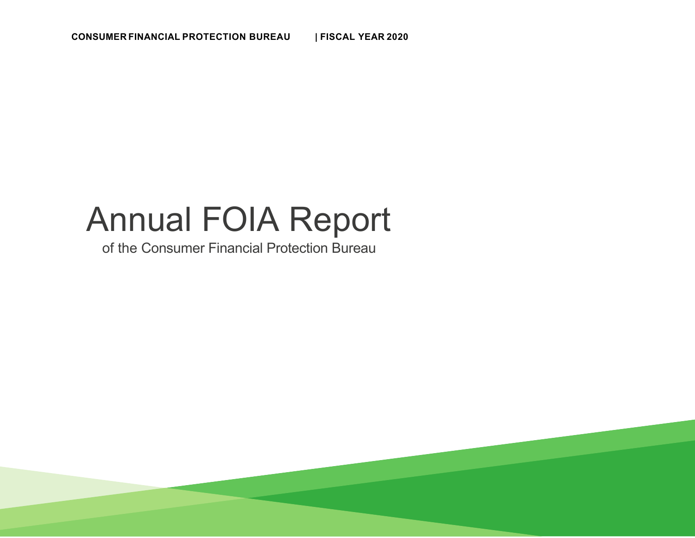# Annual FOIA Report

of the Consumer Financial Protection Bureau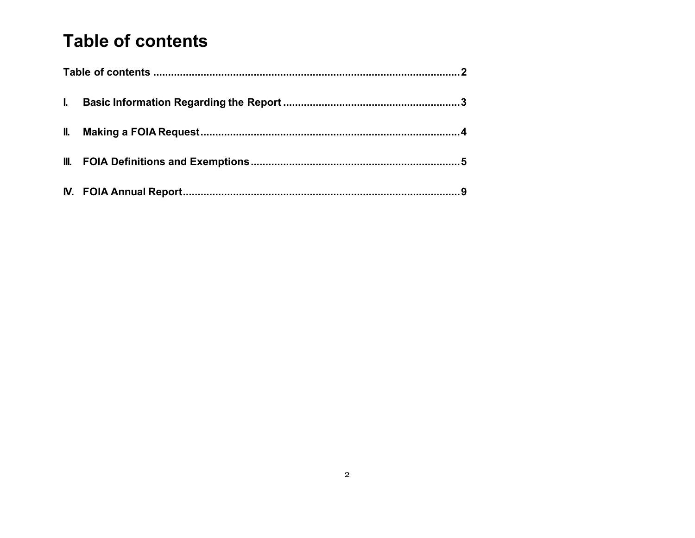### **Table of contents**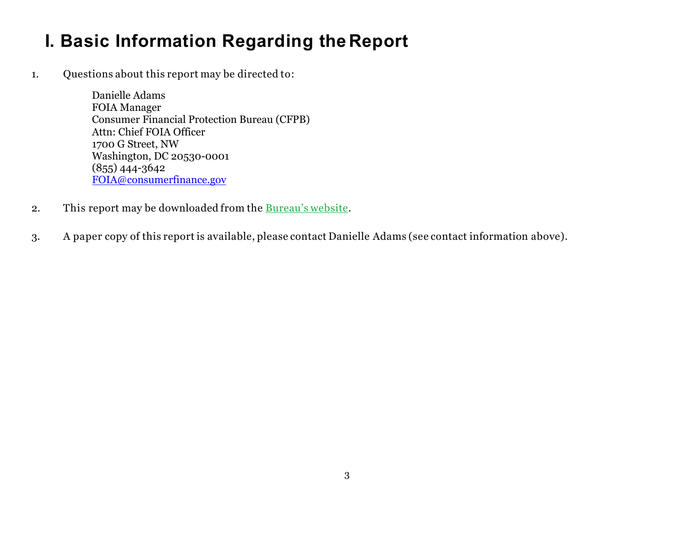# **I. Basic Information Regarding the Report**

1.Questions about this report may be directed to:

> Danielle Adams FOIA Manager Consumer Financial Protection Bureau (CFPB) Attn: Chief FOIA Officer 1700 G Street, NW Washington, DC 20530-0001 (855) 444-3642 FOIA@consumerfinance.gov

- 2.This report may be downloaded from the Bureau's website.
- 3. A paper copy of this report is available, please contact Danielle Adams (see contact information above).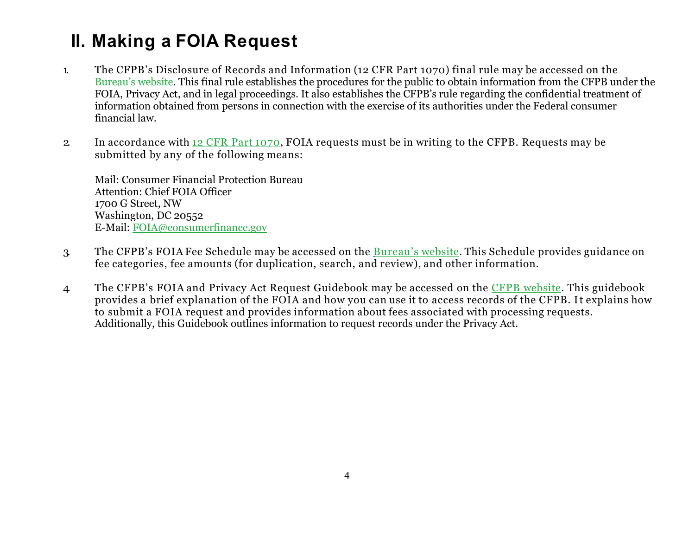# **II. Making a FOIA Request**

- 1. The CFPB's Disclosure of Records and Information (12 CFR Part 1070) final rule may be accessed on the Bureau's website. This final rule establishes the procedures for the public to obtain information from the CFPB under the FOIA, Privacy Act, and in legal proceedings. It also establishes the CFPB's rule regarding the confidential treatment of information obtained from persons in connection with the exercise of its authorities under the Federal consumer financial law.
- 2. In accordance with 12 CFR Part 1070, FOIA requests must be in writing to the CFPB. Requests may be submitted by any of the following means:

Mail: Consumer Financial Protection Bureau Attention: Chief FOIA Officer 1700 G Street, NW Washington, DC 20552 E-Mail: FOIA@consumerfinance.gov

- 3. The CFPB's FOIA Fee Schedule may be accessed on the **Bureau's website**. This Schedule provides guidance on fee categories, fee amounts (for duplication, search, and review), and other information.
- 4 The CFPB's FOIA and Privacy Act Request Guidebook may be accessed on the CFPB website. This guidebook provides a brief explanation of the FOIA and how you can use it to access records of the CFPB. I t explains how to submit a FOIA request and provides information about fees associated with processing requests. Additionally, this Guidebook outlines information to request records under the Privacy Act.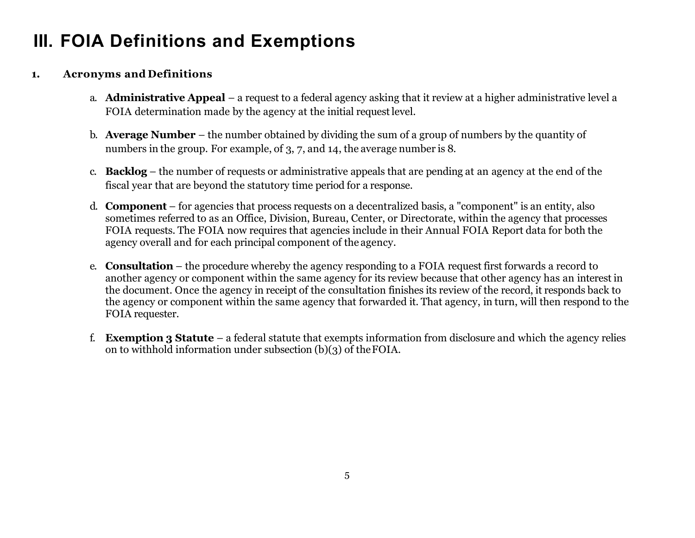# **III. FOIA Definitions and Exemptions**

#### **1.Acronyms and Definitions**

- a. **Administrative Appeal**  a request to a federal agency asking that it review at a higher administrative level a FOIA determination made by the agency at the initial request level.
- b. **Average Number**  the number obtained by dividing the sum of a group of numbers by the quantity of numbers in the group. For example, of 3, 7, and 14, the average number is 8.
- c. **Backlog**  the number of requests or administrative appeals that are pending at an agency at the end of the fiscal year that are beyond the statutory time period for a response.
- d. **Component**  for agencies that process requests on a decentralized basis, a "component" is an entity, also sometimes referred to as an Office, Division, Bureau, Center, or Directorate, within the agency that processes FOIA requests. The FOIA now requires that agencies include in their Annual FOIA Report data for both the agency overall and for each principal component of the agency.
- e. **Consultation**  the procedure whereby the agency responding to a FOIA request first forwards a record to another agency or component within the same agency for its review because that other agency has an interest in the document. Once the agency in receipt of the consultation finishes its review of the record, it responds back to the agency or component within the same agency that forwarded it. That agency, in turn, will then respond to the FOIA requester.
- f. **Exemption 3 Statute**  a federal statute that exempts information from disclosure and which the agency relies on to withhold information under subsection (b)(3) of the FOIA.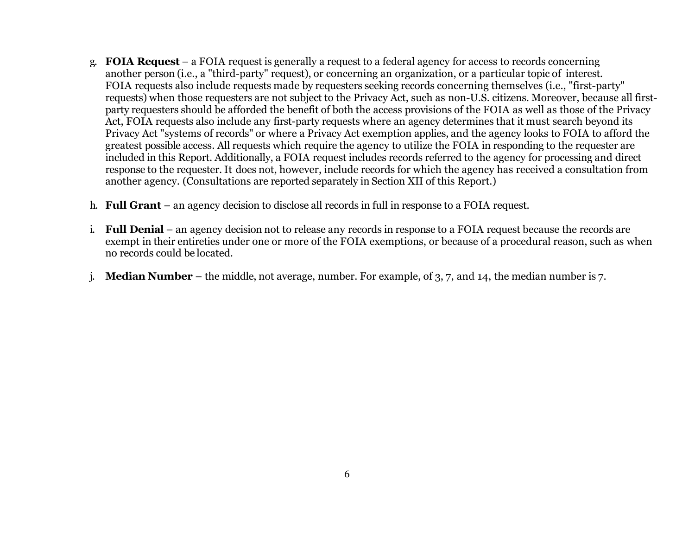- g. **FOIA Request**  a FOIA request is generally a request to a federal agency for access to records concerning another person (i.e., a "third-party" request), or concerning an organization, or a particular topic of interest. FOIA requests also include requests made by requesters seeking records concerning themselves (i.e., "first-party" requests) when those requesters are not subject to the Privacy Act, such as non-U.S. citizens. Moreover, because all firstparty requesters should be afforded the benefit of both the access provisions of the FOIA as well as those of the Privacy Act, FOIA requests also include any first-party requests where an agency determines that it must search beyond its Privacy Act "systems of records" or where a Privacy Act exemption applies, and the agency looks to FOIA to afford the greatest possible access. All requests which require the agency to utilize the FOIA in responding to the requester are included in this Report. Additionally, a FOIA request includes records referred to the agency for processing and direct response to the requester. It does not, however, include records for which the agency has received a consultation from another agency. (Consultations are reported separately in Section XII of this Report.)
- h. **Full Grant**  an agency decision to disclose all records in full in response to a FOIA request.
- i. **Full Denial**  an agency decision not to release any records in response to a FOIA request because the records are exempt in their entireties under one or more of the FOIA exemptions, or because of a procedural reason, such as when no records could be located.
- j. **Median Number**  the middle, not average, number. For example, of 3, 7, and 14, the median number is 7.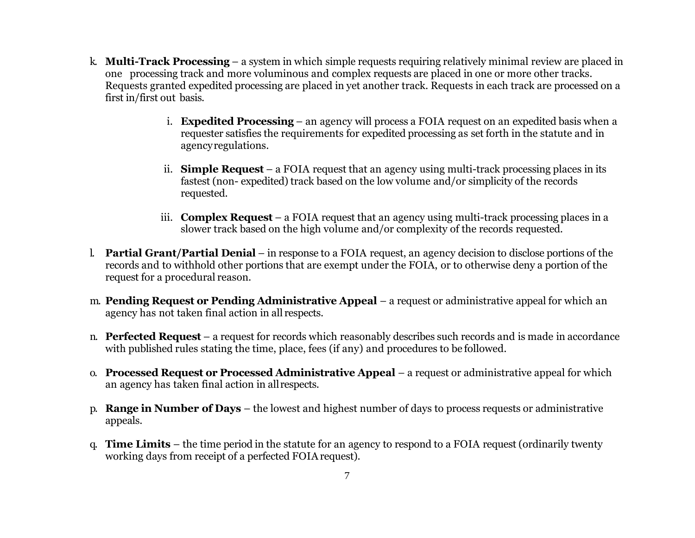- k. **Multi-Track Processing**  a system in which simple requests requiring relatively minimal review are placed in one processing track and more voluminous and complex requests are placed in one or more other tracks. Requests granted expedited processing are placed in yet another track. Requests in each track are processed on a first in/first out basis.
	- i. **Expedited Processing**  an agency will process a FOIA request on an expedited basis when a requester satisfies the requirements for expedited processing as set forth in the statute and in agency regulations.
	- ii. **Simple Request**  a FOIA request that an agency using multi-track processing places in its fastest (non- expedited) track based on the low volume and/or simplicity of the records requested.
	- iii. **Complex Request**  a FOIA request that an agency using multi-track processing places in a slower track based on the high volume and/or complexity of the records requested.
- l. **Partial Grant/Partial Denial**  in response to a FOIA request, an agency decision to disclose portions of the records and to withhold other portions that are exempt under the FOIA, or to otherwise deny a portion of the request for a procedural reason.
- m. **Pending Request or Pending Administrative Appeal**  a request or administrative appeal for which an agency has not taken final action in all respects.
- n. **Perfected Request**  a request for records which reasonably describes such records and is made in accordance with published rules stating the time, place, fees (if any) and procedures to be followed.
- o. **Processed Request or Processed Administrative Appeal**  a request or administrative appeal for which an agency has taken final action in all respects.
- p. **Range in Number of Days**  the lowest and highest number of days to process requests or administrative appeals.
- q. **Time Limits**  the time period in the statute for an agency to respond to a FOIA request (ordinarily twenty working days from receipt of a perfected FOIA request).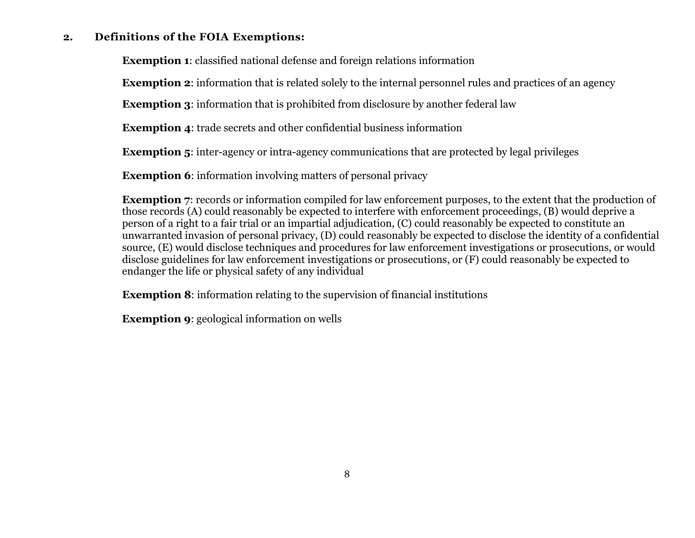#### **2.Definitions of the FOIA Exemptions:**

**Exemption 1**: classified national defense and foreign relations information

**Exemption 2**: information that is related solely to the internal personnel rules and practices of an agency

**Exemption 3:** information that is prohibited from disclosure by another federal law

**Exemption 4**: trade secrets and other confidential business information

**Exemption 5**: inter-agency or intra-agency communications that are protected by legal privileges

**Exemption 6:** information involving matters of personal privacy

**Exemption 7**: records or information compiled for law enforcement purposes, to the extent that the production of those records (A) could reasonably be expected to interfere with enforcement proceedings, (B) would deprive a person of a right to a fair trial or an impartial adjudication, (C) could reasonably be expected to constitute an unwarranted invasion of personal privacy, (D) could reasonably be expected to disclose the identity of a confidential source, (E) would disclose techniques and procedures for law enforcement investigations or prosecutions, or would disclose guidelines for law enforcement investigations or prosecutions, or (F) could reasonably be expected to endanger the life or physical safety of any individual

**Exemption 8**: information relating to the supervision of financial institutions

**Exemption 9**: geological information on wells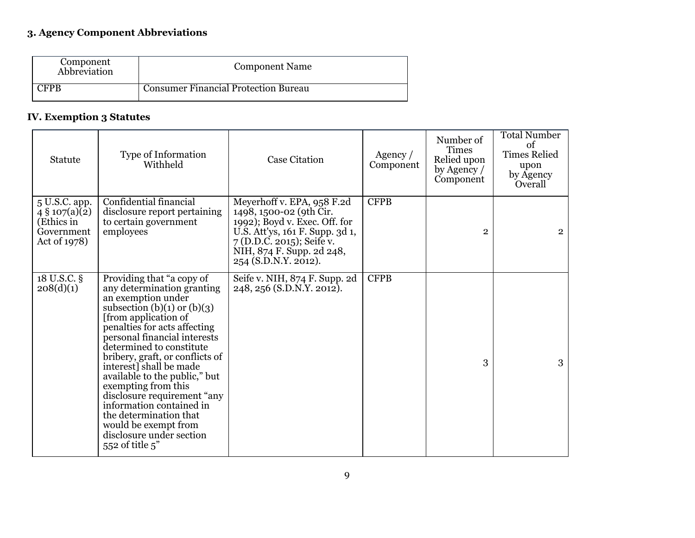### **3. Agency Component Abbreviations**

| Component<br>Abbreviation | <b>Component Name</b>                |
|---------------------------|--------------------------------------|
| 'FPR                      | Consumer Financial Protection Bureau |

#### **IV. Exemption 3 Statutes**

| Statute                                                                        | Type of Information<br>Withheld                                                                                                                                                                                                                                                                                                                                                                                                                                                                                            | <b>Case Citation</b>                                                                                                                                                                                          | Agency $/$<br>Component | Number of<br><b>Times</b><br>Relied upon<br>by Agency /<br>Component | <b>Total Number</b><br>of<br><b>Times Relied</b><br>upon<br>by Agency<br>Overall |
|--------------------------------------------------------------------------------|----------------------------------------------------------------------------------------------------------------------------------------------------------------------------------------------------------------------------------------------------------------------------------------------------------------------------------------------------------------------------------------------------------------------------------------------------------------------------------------------------------------------------|---------------------------------------------------------------------------------------------------------------------------------------------------------------------------------------------------------------|-------------------------|----------------------------------------------------------------------|----------------------------------------------------------------------------------|
| 5 U.S.C. app.<br>$4\,$ § 107(a)(2)<br>(Ethics in<br>Government<br>Act of 1978) | Confidential financial<br>disclosure report pertaining<br>to certain government<br>employees                                                                                                                                                                                                                                                                                                                                                                                                                               | Meyerhoff v. EPA, 958 F.2d<br>1498, 1500-02 (9th Cir.<br>1992); Boyd v. Exec. Off. for<br>U.S. Att'ys, 161 F. Supp. 3d 1,<br>$7(D.D.C. 2015)$ ; Seife v.<br>NIH, 874 F. Supp. 2d 248,<br>254 (S.D.N.Y. 2012). | <b>CFPB</b>             | $\overline{2}$                                                       | $\overline{2}$                                                                   |
| 18 U.S.C. §<br>208(d)(1)                                                       | Providing that "a copy of<br>any determination granting<br>an exemption under<br>subsection $(b)(1)$ or $(b)(3)$<br>[from application of]<br>penalties for acts affecting<br>personal financial interests<br>determined to constitute<br>bribery, graft, or conflicts of<br>interest] shall be made<br>available to the public," but<br>exempting from this<br>disclosure requirement "any<br>information contained in<br>the determination that<br>would be exempt from<br>disclosure under section<br>552 of title $5$ " | Seife v. NIH, 874 F. Supp. 2d<br>248, 256 (S.D.N.Y. 2012).                                                                                                                                                    | <b>CFPB</b>             | 3                                                                    | 3                                                                                |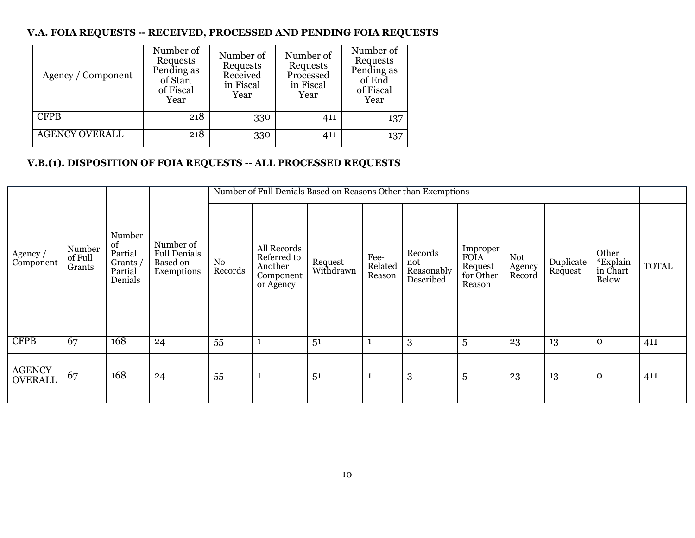#### **V.A. FOIA REQUESTS -- RECEIVED, PROCESSED AND PENDING FOIA REQUESTS**

| Agency / Component    | Number of<br>Requests<br>Pending as<br>of Start<br>of Fiscal<br>Year | Number of<br>Requests<br>Received<br>in Fiscal<br>Year | Number of<br>Requests<br>Processed<br>in Fiscal<br>Year | Number of<br>Requests<br>Pending as<br>of End<br>of Fiscal<br>Year |
|-----------------------|----------------------------------------------------------------------|--------------------------------------------------------|---------------------------------------------------------|--------------------------------------------------------------------|
| <b>CFPB</b>           | 218                                                                  | 330                                                    | 411                                                     | 137                                                                |
| <b>AGENCY OVERALL</b> | 218                                                                  | 330                                                    | 411                                                     | 137                                                                |

#### **V.B.(1). DISPOSITION OF FOIA REQUESTS -- ALL PROCESSED REQUESTS**

|                                 |                             |                                                         |                                                            |               | Number of Full Denials Based on Reasons Other than Exemptions   |                      |                           |                                           |                                                    |                         |                      |                                               |              |
|---------------------------------|-----------------------------|---------------------------------------------------------|------------------------------------------------------------|---------------|-----------------------------------------------------------------|----------------------|---------------------------|-------------------------------------------|----------------------------------------------------|-------------------------|----------------------|-----------------------------------------------|--------------|
| Agency /<br>Component           | Number<br>of Full<br>Grants | Number<br>of<br>Partial<br>Grants<br>Partial<br>Denials | Number of<br><b>Full Denials</b><br>Based on<br>Exemptions | No<br>Records | All Records<br>Referred to<br>Another<br>Component<br>or Agency | Request<br>Withdrawn | Fee-<br>Related<br>Reason | Records<br>not<br>Reasonably<br>Described | Improper<br>FOIA<br>Request<br>for Other<br>Reason | Not<br>Agency<br>Record | Duplicate<br>Request | Other<br>*Explain<br>in Chart<br><b>Below</b> | <b>TOTAL</b> |
| <b>CFPB</b>                     | 67                          | 168                                                     | 24                                                         | 55            | 1                                                               | 51                   | 1                         | 3                                         | 5                                                  | 23                      | 13                   | $\mathbf 0$                                   | 411          |
| <b>AGENCY</b><br><b>OVERALL</b> | 67                          | 168                                                     | 24                                                         | 55            | 1                                                               | 51                   | $\mathbf{1}$              | $\boldsymbol{3}$                          | 5                                                  | 23                      | 13                   | $\mathbf 0$                                   | 411          |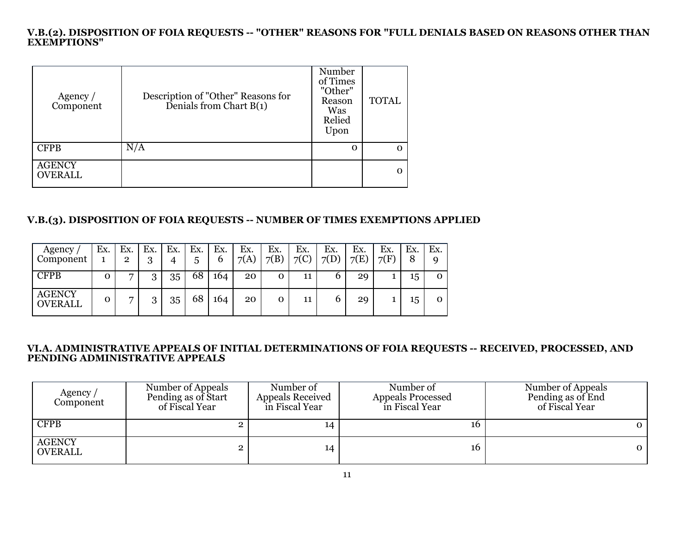#### **V.B.(2). DISPOSITION OF FOIA REQUESTS -- "OTHER" REASONS FOR "FULL DENIALS BASED ON REASONS OTHER THAN EXEMPTIONS"**

| Agency $/$<br>Component         | Description of "Other" Reasons for<br>Denials from Chart B(1) | Number<br>of Times<br>"Other"<br>Reason<br>Was<br>Relied<br>Upon | <b>TOTAL</b> |
|---------------------------------|---------------------------------------------------------------|------------------------------------------------------------------|--------------|
| <b>CFPB</b>                     | N/A                                                           | Ω                                                                | O            |
| <b>AGENCY</b><br><b>OVERALL</b> |                                                               |                                                                  | Ω            |

#### **V.B.(3). DISPOSITION OF FOIA REQUESTS -- NUMBER OF TIMES EXEMPTIONS APPLIED**

| Agency<br>Component             | Ex. | Ex.<br>2       | Ex.<br>ว<br>J | Ex. | Ex.<br>5 | Ex.<br>6 | Ex.<br>7(A) | Ex.<br>7(B) | Ex.<br>7(C) | Ex.<br>7(D) | Ex.<br>7(E) | Ex.<br>7(F) | Ex.<br>8 | Ex. |
|---------------------------------|-----|----------------|---------------|-----|----------|----------|-------------|-------------|-------------|-------------|-------------|-------------|----------|-----|
| <b>CFPB</b>                     | 0   | ⇁              | 3             | 35  | 68       | 164      | 20          |             | 11          |             | 29          |             | 15       |     |
| <b>AGENCY</b><br><b>OVERALL</b> | 0   | $\overline{ }$ | Q<br>◡        | 35  | 68       | 164      | 20          |             | 11          |             | 29          |             | 15       | Ω   |

#### **VI.A. ADMINISTRATIVE APPEALS OF INITIAL DETERMINATIONS OF FOIA REQUESTS -- RECEIVED, PROCESSED, AND PENDING ADMINISTRATIVE APPEALS**

| Agency /<br>Component           | Number of Appeals<br>Pending as of Start<br>of Fiscal Year | Number of<br><b>Appeals Received</b><br>in Fiscal Year | Number of<br><b>Appeals Processed</b><br>in Fiscal Year | Number of Appeals<br>Pending as of End<br>of Fiscal Year |
|---------------------------------|------------------------------------------------------------|--------------------------------------------------------|---------------------------------------------------------|----------------------------------------------------------|
| <b>CFPB</b>                     |                                                            | 14                                                     | 16                                                      |                                                          |
| <b>AGENCY</b><br><b>OVERALL</b> |                                                            | 14                                                     | 16                                                      | 0                                                        |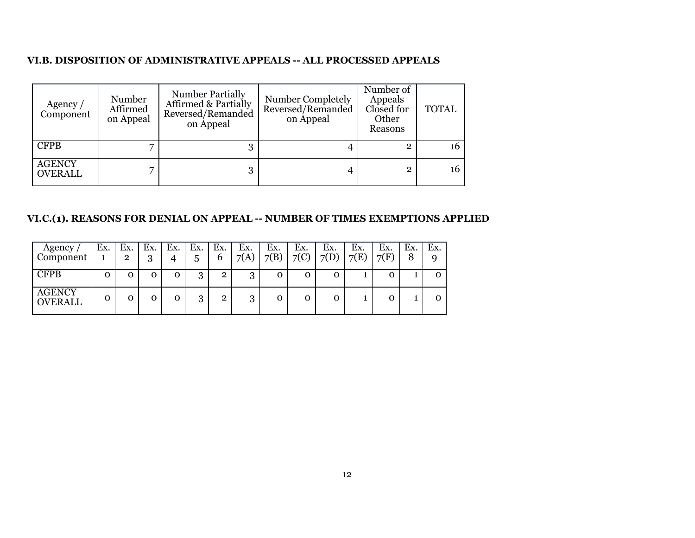#### **VI.B. DISPOSITION OF ADMINISTRATIVE APPEALS -- ALL PROCESSED APPEALS**

| Agency /<br>Component           | Number<br>Affirmed<br>on Appeal | <b>Number Partially</b><br>Affirmed & Partially<br>Reversed/Remanded<br>on Appeal | Number Completely<br>Reversed/Remanded<br>on Appeal | Number of<br>Appeals<br>Closed for<br>Other<br>Reasons | <b>TOTAL</b> |
|---------------------------------|---------------------------------|-----------------------------------------------------------------------------------|-----------------------------------------------------|--------------------------------------------------------|--------------|
| <b>CFPB</b>                     |                                 | 3                                                                                 |                                                     |                                                        | 16           |
| <b>AGENCY</b><br><b>OVERALL</b> |                                 | 3                                                                                 |                                                     |                                                        | 16           |

#### **VI.C.(1). REASONS FOR DENIAL ON APPEAL -- NUMBER OF TIMES EXEMPTIONS APPLIED**

| Agency<br>Component             | Ex. | Ex.<br>2 | Ex.<br>3 | Ex. | Ex.<br>5 | Ex.<br>b     | Ex.<br>7(A)    | Ex.<br>7(B) | Ex.<br>$\neg$ (C) | Ex.<br>7(D) | Ex.<br>7(E) | Ex.<br>7(F) | Ex.<br>8 | Ex. |
|---------------------------------|-----|----------|----------|-----|----------|--------------|----------------|-------------|-------------------|-------------|-------------|-------------|----------|-----|
| <b>CFPB</b>                     | 0   | 0        | 0        | 0   | 3        | $\mathbf{2}$ | 3              | 0           | 0                 | О           |             |             |          | О   |
| <b>AGENCY</b><br><b>OVERALL</b> | Ω   |          | 0        | 0   | 0<br>J   | റ            | $\Omega$<br>۰D |             | O                 |             |             |             |          |     |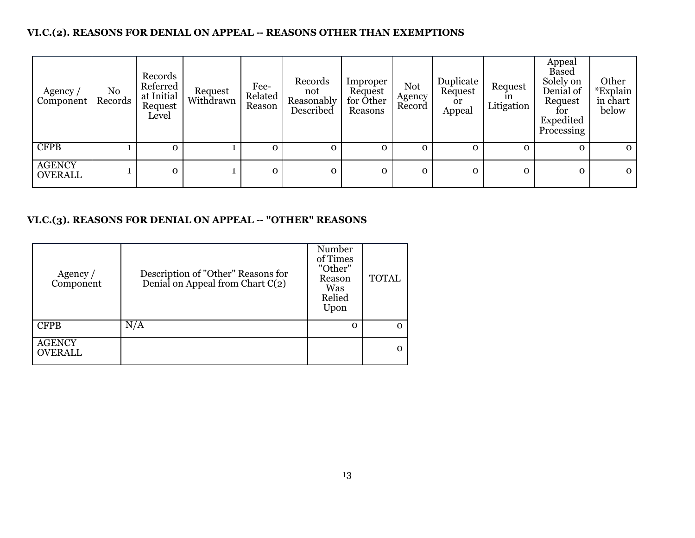#### **VI.C.(2). REASONS FOR DENIAL ON APPEAL -- REASONS OTHER THAN EXEMPTIONS**

| Agency /<br>Component           | No<br>Records | Records<br>Referred<br>at Initial<br>Request<br>Level | Request<br>Withdrawn | Fee-<br>Related<br>Reason | Records<br>not<br>Reasonably<br>Described | Improper<br>Request<br>for Other<br>Reasons | Not<br>Agency<br>Record | Duplicate<br>Request<br>0r<br>Appeal | Request<br>1n<br>Litigation | Appeal<br><b>Based</b><br>Solely on<br>Denial of<br>Request<br>tor<br>Expedited<br>Processing | Other<br>*Explain<br>in chart<br>below |
|---------------------------------|---------------|-------------------------------------------------------|----------------------|---------------------------|-------------------------------------------|---------------------------------------------|-------------------------|--------------------------------------|-----------------------------|-----------------------------------------------------------------------------------------------|----------------------------------------|
| <b>CFPB</b>                     |               | $\Omega$                                              |                      | $\mathbf{0}$              | $\Omega$                                  | $\Omega$                                    | 0                       |                                      | $\Omega$                    | $\mathbf{O}$                                                                                  | $\mathbf{0}$                           |
| <b>AGENCY</b><br><b>OVERALL</b> |               | $\mathbf{O}$                                          |                      | 0                         | $\mathbf 0$                               | $\mathbf{O}$                                | 0                       | $\mathbf{O}$                         | $\mathbf{O}$                | $\mathbf{O}$                                                                                  | $\mathbf{O}$                           |

#### **VI.C.(3). REASONS FOR DENIAL ON APPEAL -- "OTHER" REASONS**

| Agency /<br>Component           | Description of "Other" Reasons for<br>Denial on Appeal from Chart C(2) | Number<br>of Times<br>"Other"<br>Reason<br>Was<br>Relied<br>Upon | <b>TOTAL</b> |
|---------------------------------|------------------------------------------------------------------------|------------------------------------------------------------------|--------------|
| <b>CFPB</b>                     | N/A                                                                    | O                                                                |              |
| <b>AGENCY</b><br><b>OVERALL</b> |                                                                        |                                                                  |              |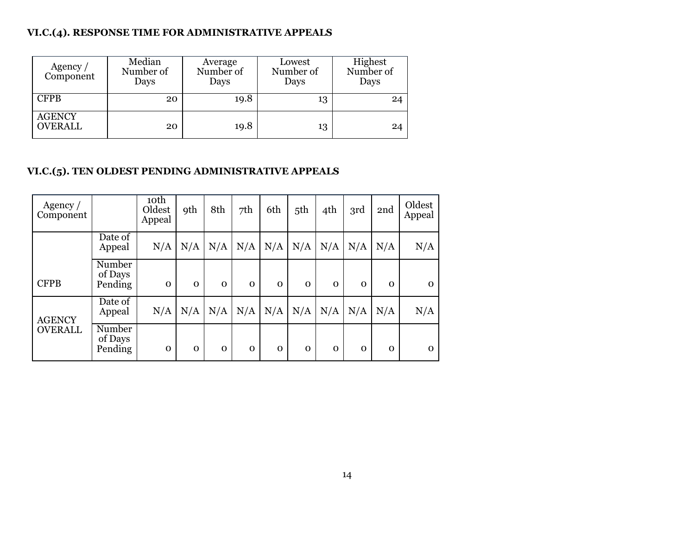#### **VI.C.(4). RESPONSE TIME FOR ADMINISTRATIVE APPEALS**

| Agency /<br>Component           | Median<br>Number of<br>Days | Average<br>Number of<br>Days | Lowest<br>Number of<br>Days | Highest<br>Number of<br>Days |
|---------------------------------|-----------------------------|------------------------------|-----------------------------|------------------------------|
| <b>CFPB</b>                     | 20                          | 19.8                         | 13                          | 24                           |
| <b>AGENCY</b><br><b>OVERALL</b> | 20                          | 19.8                         | 13                          | 24                           |

#### **VI.C.(5). TEN OLDEST PENDING ADMINISTRATIVE APPEALS**

| Agency $/$<br>Component |                              | 10 <sup>th</sup><br>Oldest<br>Appeal | <b>9th</b>   | 8th      | 7 <sup>th</sup> | 6th      | 5th         | 4th         | 3rd         | 2nd         | Oldest<br>Appeal |
|-------------------------|------------------------------|--------------------------------------|--------------|----------|-----------------|----------|-------------|-------------|-------------|-------------|------------------|
|                         | Date of<br>Appeal            | N/A                                  | N/A          | N/A      | N/A             | N/A      | N/A         | N/A         | N/A         | N/A         | N/A              |
| <b>CFPB</b>             | Number<br>of Days<br>Pending | $\mathbf{O}$                         | $\mathbf{O}$ | $\Omega$ | $\mathbf 0$     | $\Omega$ | $\mathbf 0$ | $\mathbf 0$ | $\mathbf 0$ | $\mathbf 0$ | $\mathbf 0$      |
| <b>AGENCY</b>           | Date of<br>Appeal            | N/A                                  | N/A          | N/A      | N/A             | N/A      | N/A         | N/A         | N/A         | N/A         | N/A              |
| <b>OVERALL</b>          | Number<br>of Days<br>Pending | $\mathbf{O}$                         | $\mathbf 0$  | $\Omega$ | $\mathbf 0$     | $\Omega$ | $\mathbf 0$ | $\mathbf 0$ | $\mathbf 0$ | $\mathbf 0$ | $\mathbf 0$      |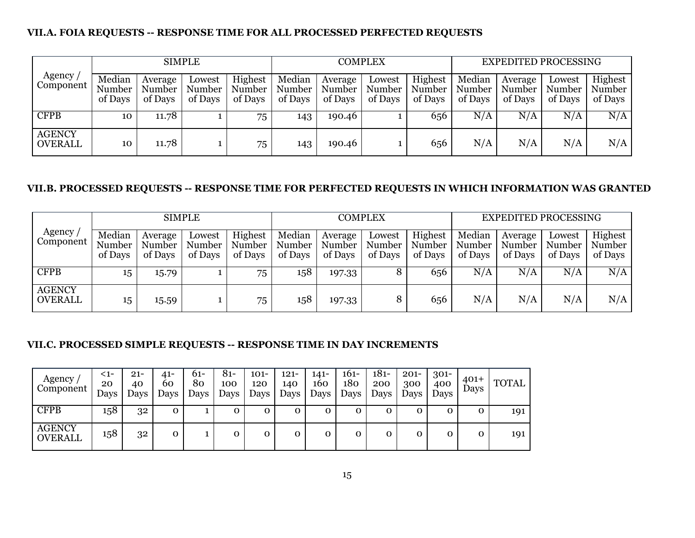#### **VII.A. FOIA REQUESTS -- RESPONSE TIME FOR ALL PROCESSED PERFECTED REQUESTS**

|                                              |                             |                              | <b>SIMPLE</b>               |                              |                             |                              | <b>COMPLEX</b>              |                              |                             | <b>EXPEDITED PROCESSING</b>  |                             |                              |
|----------------------------------------------|-----------------------------|------------------------------|-----------------------------|------------------------------|-----------------------------|------------------------------|-----------------------------|------------------------------|-----------------------------|------------------------------|-----------------------------|------------------------------|
| Agency $\overline{\phantom{a}}$<br>Component | Median<br>Number<br>of Days | Average<br>Number<br>of Days | Lowest<br>Number<br>of Days | Highest<br>Number<br>of Days | Median<br>Number<br>of Days | Average<br>Number<br>of Days | Lowest<br>Number<br>of Days | Highest<br>Number<br>of Days | Median<br>Number<br>of Days | Average<br>Number<br>of Days | Lowest<br>Number<br>of Days | Highest<br>Number<br>of Days |
| <b>CFPB</b>                                  | 10                          | 11.78                        |                             | 75                           | 143                         | 190.46                       |                             | 656                          | N/A                         | N/A                          | N/A                         | N/A                          |
| <b>AGENCY</b><br><b>OVERALL</b>              | 10                          | 11.78                        |                             | 75                           | 143                         | 190.46                       |                             | 656                          | N/A                         | $\rm N/A$                    | N/A                         | N/A                          |

#### **VII.B. PROCESSED REQUESTS -- RESPONSE TIME FOR PERFECTED REQUESTS IN WHICH INFORMATION WAS GRANTED**

|                                 | <b>SIMPLE</b>               |                              |                             |                              |                             | <b>COMPLEX</b>               |                             |                              |                             | <b>EXPEDITED PROCESSING</b>  |                             |                              |  |
|---------------------------------|-----------------------------|------------------------------|-----------------------------|------------------------------|-----------------------------|------------------------------|-----------------------------|------------------------------|-----------------------------|------------------------------|-----------------------------|------------------------------|--|
| Agency<br>Component             | Median<br>Number<br>of Days | Average<br>Number<br>of Days | Lowest<br>Number<br>of Days | Highest<br>Number<br>of Days | Median<br>Number<br>of Days | Average<br>Number<br>of Days | Lowest<br>Number<br>of Days | Highest<br>Number<br>of Days | Median<br>Number<br>of Days | Average<br>Number<br>of Days | Lowest<br>Kumber<br>of Days | Highest<br>Number<br>of Days |  |
| <b>CFPB</b>                     | 15                          | 15.79                        |                             | 75                           | 158                         | 197.33                       | ŏ                           | 656                          | N/A                         | $\rm N/A$                    | N/A                         | $\overline{\text{N/A}}$      |  |
| <b>AGENCY</b><br><b>OVERALL</b> | 15                          | 15.59                        |                             | 75                           | 158                         | 197.33                       |                             | 656                          | N/A                         | N/A                          | N/A                         | N/A                          |  |

#### **VII.C. PROCESSED SIMPLE REQUESTS -- RESPONSE TIME IN DAY INCREMENTS**

| Agency<br>Component             | <1-<br>20<br>Days | $21 -$<br>40<br>Days | $41 -$<br>60<br>Days | 61-<br>80<br>Days | 81-<br>100<br>Days | $101 -$<br>120<br>Days | 121-<br>140<br>Days | 141-<br>160<br>Days | 161-<br>180<br>Days | $181 -$<br>200<br>Days | $201 -$<br>300<br>Days | 301-<br>400<br>Days | $401 +$<br>Days | <b>TOTAL</b> |
|---------------------------------|-------------------|----------------------|----------------------|-------------------|--------------------|------------------------|---------------------|---------------------|---------------------|------------------------|------------------------|---------------------|-----------------|--------------|
| <b>CFPB</b>                     | 158               | 32                   | о                    |                   | О                  | 0                      | 0                   | 0                   |                     | Ω                      | 0                      | О                   | о               | 191          |
| <b>AGENCY</b><br><b>OVERALL</b> | 158               | 32                   | O                    |                   | О                  | 0                      | 0                   | 0                   |                     | о                      | 0                      | О                   | О               | 191          |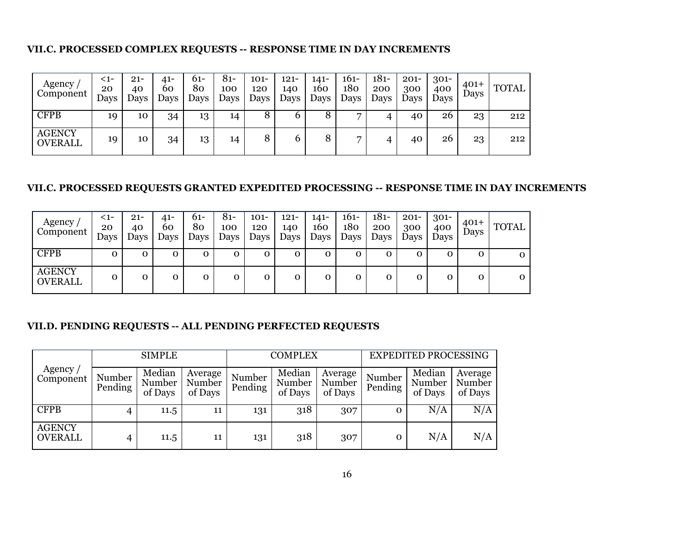#### **VII.C. PROCESSED COMPLEX REQUESTS -- RESPONSE TIME IN DAY INCREMENTS**

| Agency<br>Component             | <1-<br>20<br>Days | $21 -$<br>40<br>Days | 41-<br>60<br>Days | 61-<br>80<br>Days | 81-<br>100<br>Days | $101 -$<br>120<br>Days | $121 -$<br>140<br>Days | 141-<br>160<br>Days | 161-<br>180<br>Days | $181 -$<br>200<br>Days | $201 -$<br>300<br>Days | $301 -$<br>400<br>Days | $401 +$<br>Days | <b>TOTAL</b> |
|---------------------------------|-------------------|----------------------|-------------------|-------------------|--------------------|------------------------|------------------------|---------------------|---------------------|------------------------|------------------------|------------------------|-----------------|--------------|
| <b>CFPB</b>                     | 19                | 10                   | 34                | 13                | 14                 | 8                      | O                      | 8                   |                     |                        | 40                     | 26                     | 23              | 212          |
| <b>AGENCY</b><br><b>OVERALL</b> | 19                | 10                   | 34                | 13                | 14                 | 8                      | b                      | 8                   | ⇁                   |                        | 40                     | 26                     | 23              | 212          |

#### **VII.C. PROCESSED REQUESTS GRANTED EXPEDITED PROCESSING -- RESPONSE TIME IN DAY INCREMENTS**

| Agency<br>Component             | <1-<br>20<br>Days | $21 -$<br>40<br>Days | 41-<br>60<br>Days | $61-$<br>80<br>Days | $81 -$<br>100<br>Days | $101 -$<br>120<br>Days | $121 -$<br>140<br>Days | $141-$<br>160<br>Days | $161 -$<br>180<br>Days | $181 -$<br>200<br>Days | $201 -$<br>300<br>Days | $301 -$<br>400<br>Days | $401+$<br>Days | <b>TOTAL</b> |
|---------------------------------|-------------------|----------------------|-------------------|---------------------|-----------------------|------------------------|------------------------|-----------------------|------------------------|------------------------|------------------------|------------------------|----------------|--------------|
| <b>CFPB</b>                     | О                 | Ω                    | о                 | 0                   | О                     | 0                      | $\mathbf{O}$           | 0                     |                        | Ω                      | 0                      | O                      | 0              |              |
| <b>AGENCY</b><br><b>OVERALL</b> | 0                 |                      | 0                 | 0                   | 0                     |                        | $\mathbf{O}$           | 0                     |                        | Ω                      | 0                      | O                      | 0              |              |

#### **VII.D. PENDING REQUESTS -- ALL PENDING PERFECTED REQUESTS**

|                                 | <b>SIMPLE</b>     |                             |                              |                   | <b>COMPLEX</b>              |                              | <b>EXPEDITED PROCESSING</b> |                             |                              |  |
|---------------------------------|-------------------|-----------------------------|------------------------------|-------------------|-----------------------------|------------------------------|-----------------------------|-----------------------------|------------------------------|--|
| Agency $\prime$<br>Component    | Number<br>Pending | Median<br>Number<br>of Days | Average<br>Number<br>of Days | Number<br>Pending | Median<br>Number<br>of Days | Average<br>Number<br>of Days | Number<br>Pending           | Median<br>Number<br>of Days | Average<br>Number<br>of Days |  |
| <b>CFPB</b>                     | 4                 | 11.5                        | 11                           | 131               | 318                         | 307                          | 0                           | N/A                         | N/A                          |  |
| <b>AGENCY</b><br><b>OVERALL</b> | 4                 | 11.5                        | 11                           | 131               | 318                         | 307                          |                             | N/A                         | N/A                          |  |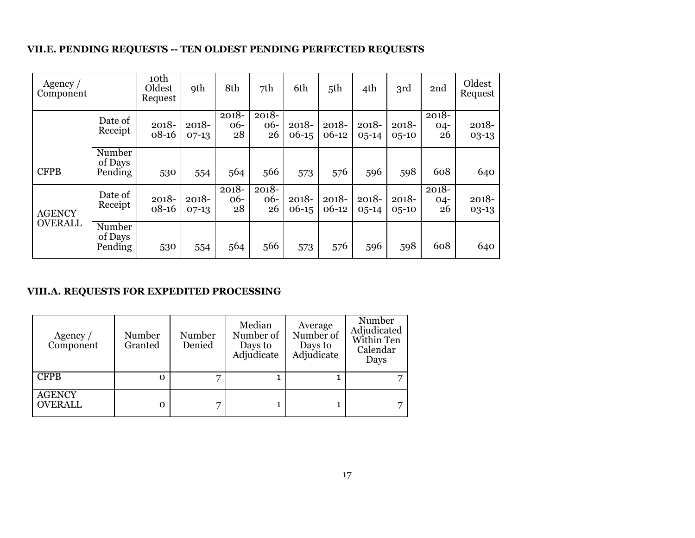#### **VII.E. PENDING REQUESTS -- TEN OLDEST PENDING PERFECTED REQUESTS**

| Agency $/$<br>Component |                              | 10 <sup>th</sup><br>Oldest<br>Request | <b>9th</b>          | 8th                     | 7th                     | 6th                 | 5th              | 4th                    | 3rd                    | 2nd                   | Oldest<br>Request   |
|-------------------------|------------------------------|---------------------------------------|---------------------|-------------------------|-------------------------|---------------------|------------------|------------------------|------------------------|-----------------------|---------------------|
|                         | Date of<br>Receipt           | 2018-<br>$08 - 16$                    | $2018 -$<br>$07-13$ | $2018 -$<br>$06-$<br>28 | $2018 -$<br>$06-$<br>26 | $2018 -$<br>$06-15$ | 2018-<br>$06-12$ | 2018-<br>$0.5 - 14$    | $2018 -$<br>$0,5 - 10$ | 2018-<br>$04-$<br>26  | $2018 -$<br>$03-13$ |
| <b>CFPB</b>             | Number<br>of Days<br>Pending | 530                                   | 554                 | 564                     | 566                     | 573                 | 576              | 596                    | 598                    | 608                   | 640                 |
| <b>AGENCY</b>           | Date of<br>Receipt           | 2018-<br>$08 - 16$                    | $2018 -$<br>$07-13$ | $2018 -$<br>$06-$<br>28 | $2018 -$<br>$06-$<br>26 | $2018 -$<br>$06-15$ | 2018-<br>$06-12$ | $2018 -$<br>$0.5 - 14$ | $2018 -$<br>$0,5 - 10$ | 2018-<br>$04 -$<br>26 | $2018 -$<br>$03-13$ |
| <b>OVERALL</b>          | Number<br>of Days<br>Pending | 530                                   | 554                 | 564                     | 566                     | 573                 | 576              | 596                    | 598                    | 608                   | 640                 |

#### **VIII.A. REQUESTS FOR EXPEDITED PROCESSING**

| Agency $/$<br>Component         | Number<br>Granted | Number<br>Denied | Median<br>Number of<br>Days to<br>Adjudicate | Average<br>Number of<br>Days to<br>Adjudicate | Number<br>Adjudicated<br>Within Ten<br>Calendar<br>Days |
|---------------------------------|-------------------|------------------|----------------------------------------------|-----------------------------------------------|---------------------------------------------------------|
| <b>CFPB</b>                     | Ω                 | ⇁                |                                              |                                               |                                                         |
| <b>AGENCY</b><br><b>OVERALL</b> | Ω                 |                  |                                              |                                               |                                                         |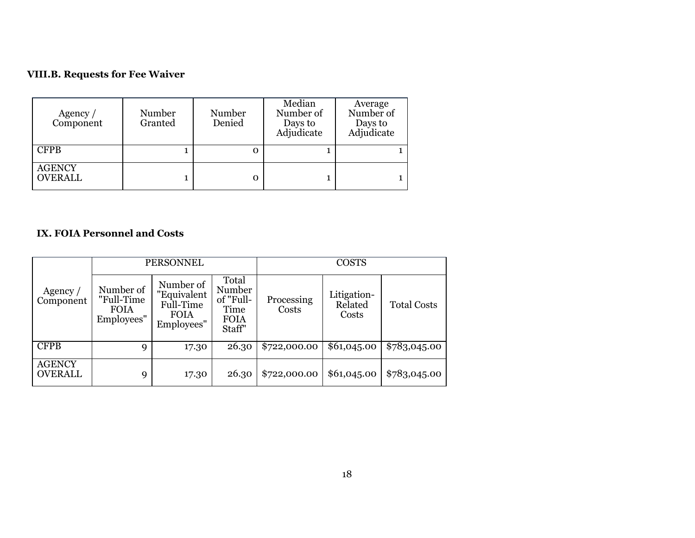#### **VIII.B. Requests for Fee Waiver**

| Agency $/$<br>Component         | Number<br>Granted | Number<br>Denied | Median<br>Number of<br>Days to<br>Adjudicate | Average<br>Number of<br>Days to<br>Adjudicate |
|---------------------------------|-------------------|------------------|----------------------------------------------|-----------------------------------------------|
| <b>CFPB</b>                     |                   | о                |                                              |                                               |
| <b>AGENCY</b><br><b>OVERALL</b> |                   | О                |                                              |                                               |

#### **IX. FOIA Personnel and Costs**

|                                 |                                                      | PERSONNEL                                                          |                                                               |                     | <b>COSTS</b>                    |                    |
|---------------------------------|------------------------------------------------------|--------------------------------------------------------------------|---------------------------------------------------------------|---------------------|---------------------------------|--------------------|
| Agency /<br>Component           | Number of<br>"Full-Time<br><b>FOIA</b><br>Employees" | Number of<br>"Equivalent<br>Full-Time<br><b>FOIA</b><br>Employees" | Total<br>Number<br>of "Full-<br>Time<br><b>FOIA</b><br>Staff" | Processing<br>Costs | Litigation-<br>Related<br>Costs | <b>Total Costs</b> |
| <b>CFPB</b>                     | 9                                                    | 17.30                                                              | 26.30                                                         | \$722,000.00        | \$61,045.00                     | \$783,045.00       |
| <b>AGENCY</b><br><b>OVERALL</b> | 9                                                    | 17.30                                                              | 26.30                                                         | \$722,000.00        | \$61,045.00                     | \$783,045.00       |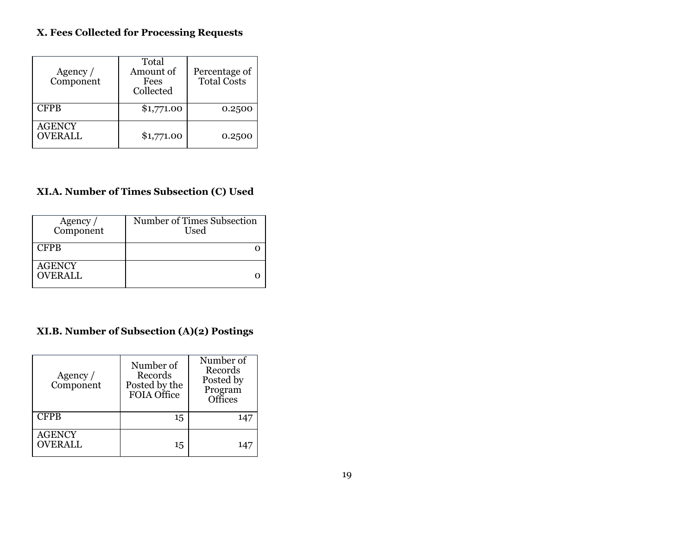### **X. Fees Collected for Processing Requests**

| Agency $/$<br>Component         | Total<br>Amount of<br>Fees<br>Collected | Percentage of<br><b>Total Costs</b> |
|---------------------------------|-----------------------------------------|-------------------------------------|
| <b>CFPB</b>                     | \$1,771.00                              | 0.2500                              |
| <b>AGENCY</b><br><b>OVERALL</b> | \$1,771.00                              | 0.2500                              |

#### **XI.A. Number of Times Subsection (C) Used**

| Agency $/$<br>Component         | Number of Times Subsection<br>Used |
|---------------------------------|------------------------------------|
| <b>CFPB</b>                     |                                    |
| <b>AGENCY</b><br><b>OVERALL</b> |                                    |

### **XI.B. Number of Subsection (A)(2) Postings**

| Agency /<br>Component           | Number of<br>Records<br>Posted by the<br>FOIA Office | Number of<br>Records<br>Posted by<br>Program<br>Offices |
|---------------------------------|------------------------------------------------------|---------------------------------------------------------|
| <b>CFPB</b>                     | 15                                                   |                                                         |
| <b>AGENCY</b><br><b>OVERALL</b> | 15                                                   | 147                                                     |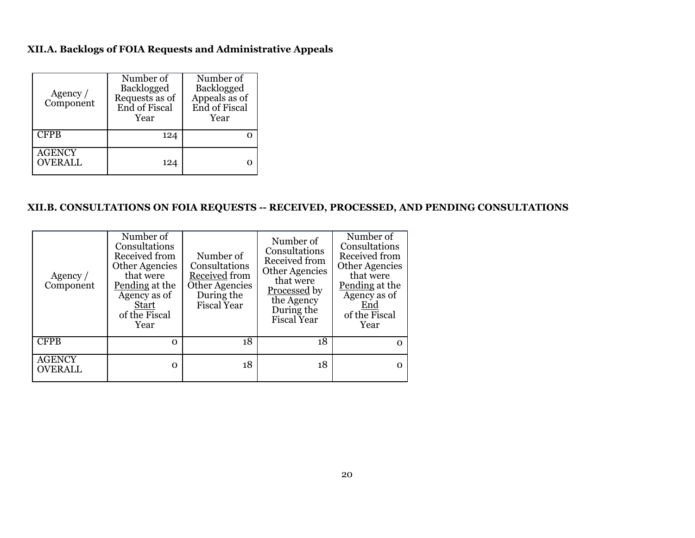#### **XII.A. Backlogs of FOIA Requests and Administrative Appeals**

| Agency $/$<br>Component  | Number of<br>Backlogged<br>Requests as of<br>End of Fiscal<br>Year | Number of<br>Backlogged<br>Appeals as of<br>End of Fiscal<br>Year |
|--------------------------|--------------------------------------------------------------------|-------------------------------------------------------------------|
| <b>CFPB</b>              | 124                                                                |                                                                   |
| AGENCY<br><b>OVERALL</b> | 124                                                                |                                                                   |

#### **XII.B. CONSULTATIONS ON FOIA REQUESTS -- RECEIVED, PROCESSED, AND PENDING CONSULTATIONS**

| Agency $/$<br>Component         | Number of<br>Consultations<br>Received from<br><b>Other Agencies</b><br>that were<br>Pending at the<br>Agency as of<br><b>Start</b><br>of the Fiscal<br>Year | Number of<br>Consultations<br>Received from<br>Other Agencies<br>During the<br>Fiscal Year | Number of<br>Consultations<br>Received from<br><b>Other Agencies</b><br>that were<br><b>Processed</b> by<br>the Agency<br>During the<br><b>Fiscal Year</b> | Number of<br>Consultations<br>Received from<br><b>Other Agencies</b><br>that were<br>Pending at the<br>Agency as of<br>End<br>of the Fiscal<br>Year |
|---------------------------------|--------------------------------------------------------------------------------------------------------------------------------------------------------------|--------------------------------------------------------------------------------------------|------------------------------------------------------------------------------------------------------------------------------------------------------------|-----------------------------------------------------------------------------------------------------------------------------------------------------|
| <b>CFPB</b>                     | $\Omega$                                                                                                                                                     | 18                                                                                         | 18                                                                                                                                                         | 0                                                                                                                                                   |
| <b>AGENCY</b><br><b>OVERALL</b> | $\Omega$                                                                                                                                                     | 18                                                                                         | 18                                                                                                                                                         | $\Omega$                                                                                                                                            |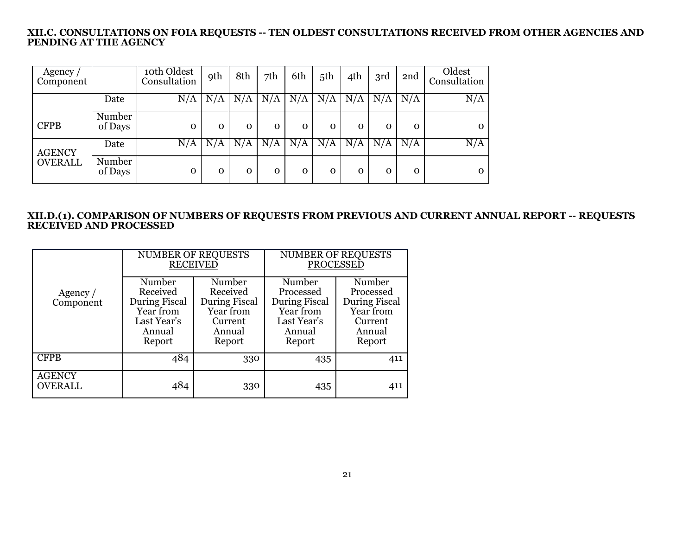#### **XII.C. CONSULTATIONS ON FOIA REQUESTS -- TEN OLDEST CONSULTATIONS RECEIVED FROM OTHER AGENCIES AND PENDING AT THE AGENCY**

| Agency $\sqrt{ }$<br>Component |                   | 10th Oldest<br>Consultation | <b>9th</b> | 8th         | 7th         | 6th         | 5th      | 4th          | 3rd          | 2nd          | Oldest<br>Consultation |
|--------------------------------|-------------------|-----------------------------|------------|-------------|-------------|-------------|----------|--------------|--------------|--------------|------------------------|
|                                | Date              | N/A                         | N/A        | N/A         | N/A         | N/A         | N/A      | N/A          | N/A          | N/A          | N/A                    |
| <b>CFPB</b>                    | Number<br>of Days | $\mathbf 0$                 | 0          | $\mathbf 0$ | $\mathbf 0$ | $\mathbf 0$ | $\Omega$ | $\mathbf{O}$ | $\mathbf{0}$ | $\mathbf{O}$ | 0                      |
| <b>AGENCY</b>                  | Date              | N/A                         | N/A        | N/A         | N/A         | N/A         | N/A      | N/A          | N/A          | N/A          | N/A                    |
| <b>OVERALL</b>                 | Number<br>of Days | $\mathbf 0$                 | 0          | O           | O           | O           | 0        | O            | $\mathbf 0$  | $\Omega$     | 0                      |

#### **XII.D.(1). COMPARISON OF NUMBERS OF REQUESTS FROM PREVIOUS AND CURRENT ANNUAL REPORT -- REQUESTS RECEIVED AND PROCESSED**

|                                 |                                                                                     | <b>NUMBER OF REQUESTS</b><br><b>RECEIVED</b>                                    | <b>NUMBER OF REQUESTS</b><br><b>PROCESSED</b>                                        |                                                                                  |  |
|---------------------------------|-------------------------------------------------------------------------------------|---------------------------------------------------------------------------------|--------------------------------------------------------------------------------------|----------------------------------------------------------------------------------|--|
| Agency /<br>Component           | Number<br>Received<br>During Fiscal<br>Year from<br>Last Year's<br>Annual<br>Report | Number<br>Received<br>During Fiscal<br>Year from<br>Current<br>Annual<br>Report | Number<br>Processed<br>During Fiscal<br>Year from<br>Last Year's<br>Annual<br>Report | Number<br>Processed<br>During Fiscal<br>Year from<br>Current<br>Annual<br>Report |  |
| <b>CFPB</b>                     | 484                                                                                 | 330                                                                             | 435                                                                                  | 411                                                                              |  |
| <b>AGENCY</b><br><b>OVERALL</b> | 484                                                                                 | 330                                                                             | 435                                                                                  | 411                                                                              |  |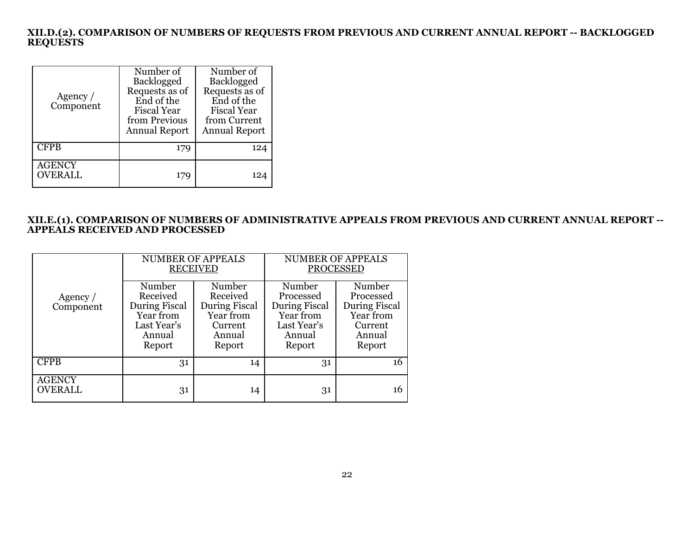#### **XII.D.(2). COMPARISON OF NUMBERS OF REQUESTS FROM PREVIOUS AND CURRENT ANNUAL REPORT -- BACKLOGGED REQUESTS**

| Agency $/$<br>Component         | Number of<br><b>Backlogged</b><br>Requests as of<br>End of the<br><b>Fiscal Year</b><br>from Previous<br><b>Annual Report</b> | Number of<br><b>Backlogged</b><br>Requests as of<br>End of the<br><b>Fiscal Year</b><br>from Current<br><b>Annual Report</b> |
|---------------------------------|-------------------------------------------------------------------------------------------------------------------------------|------------------------------------------------------------------------------------------------------------------------------|
| <b>CFPB</b>                     | 179                                                                                                                           | 124                                                                                                                          |
| <b>AGENCY</b><br><b>OVERALL</b> | 179                                                                                                                           | 124                                                                                                                          |

#### **XII.E.(1). COMPARISON OF NUMBERS OF ADMINISTRATIVE APPEALS FROM PREVIOUS AND CURRENT ANNUAL REPORT -- APPEALS RECEIVED AND PROCESSED**

|                                 |                                                                                     | <b>NUMBER OF APPEALS</b><br><b>RECEIVED</b>                                     | <b>NUMBER OF APPEALS</b><br><b>PROCESSED</b>                                         |                                                                                         |  |
|---------------------------------|-------------------------------------------------------------------------------------|---------------------------------------------------------------------------------|--------------------------------------------------------------------------------------|-----------------------------------------------------------------------------------------|--|
| Agency $/$<br>Component         | Number<br>Received<br>During Fiscal<br>Year from<br>Last Year's<br>Annual<br>Report | Number<br>Received<br>During Fiscal<br>Year from<br>Current<br>Annual<br>Report | Number<br>Processed<br>During Fiscal<br>Year from<br>Last Year's<br>Annual<br>Report | Number<br>Processed<br><b>During Fiscal</b><br>Year from<br>Current<br>Annual<br>Report |  |
| <b>CFPB</b>                     | 31                                                                                  | 14                                                                              | 31                                                                                   | 16                                                                                      |  |
| <b>AGENCY</b><br><b>OVERALL</b> | 31                                                                                  | 14                                                                              | 31                                                                                   | 16                                                                                      |  |